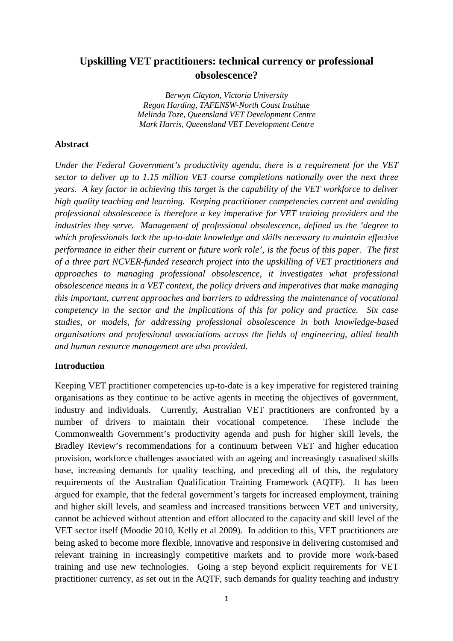# **Upskilling VET practitioners: technical currency or professional obsolescence?**

*Berwyn Clayton, Victoria University Regan Harding, TAFENSW-North Coast Institute Melinda Toze, Queensland VET Development Centre Mark Harris, Queensland VET Development Centre* 

#### **Abstract**

*Under the Federal Government's productivity agenda, there is a requirement for the VET sector to deliver up to 1.15 million VET course completions nationally over the next three years. A key factor in achieving this target is the capability of the VET workforce to deliver high quality teaching and learning. Keeping practitioner competencies current and avoiding professional obsolescence is therefore a key imperative for VET training providers and the industries they serve. Management of professional obsolescence, defined as the 'degree to which professionals lack the up-to-date knowledge and skills necessary to maintain effective performance in either their current or future work role', is the focus of this paper. The first of a three part NCVER-funded research project into the upskilling of VET practitioners and approaches to managing professional obsolescence, it investigates what professional obsolescence means in a VET context, the policy drivers and imperatives that make managing this important, current approaches and barriers to addressing the maintenance of vocational competency in the sector and the implications of this for policy and practice. Six case studies, or models, for addressing professional obsolescence in both knowledge-based organisations and professional associations across the fields of engineering, allied health and human resource management are also provided.* 

### **Introduction**

Keeping VET practitioner competencies up-to-date is a key imperative for registered training organisations as they continue to be active agents in meeting the objectives of government, industry and individuals. Currently, Australian VET practitioners are confronted by a number of drivers to maintain their vocational competence. These include the Commonwealth Government's productivity agenda and push for higher skill levels, the Bradley Review's recommendations for a continuum between VET and higher education provision, workforce challenges associated with an ageing and increasingly casualised skills base, increasing demands for quality teaching, and preceding all of this, the regulatory requirements of the Australian Qualification Training Framework (AQTF). It has been argued for example, that the federal government's targets for increased employment, training and higher skill levels, and seamless and increased transitions between VET and university, cannot be achieved without attention and effort allocated to the capacity and skill level of the VET sector itself (Moodie 2010, Kelly et al 2009). In addition to this, VET practitioners are being asked to become more flexible, innovative and responsive in delivering customised and relevant training in increasingly competitive markets and to provide more work-based training and use new technologies. Going a step beyond explicit requirements for VET practitioner currency, as set out in the AQTF, such demands for quality teaching and industry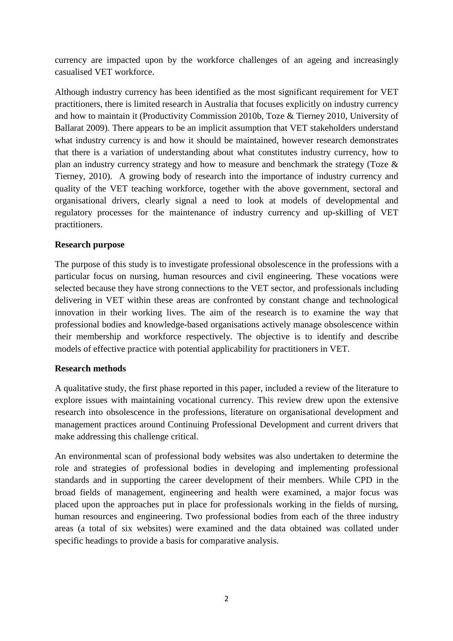currency are impacted upon by the workforce challenges of an ageing and increasingly casualised VET workforce.

Although industry currency has been identified as the most significant requirement for VET practitioners, there is limited research in Australia that focuses explicitly on industry currency and how to maintain it (Productivity Commission 2010b, Toze & Tierney 2010, University of Ballarat 2009). There appears to be an implicit assumption that VET stakeholders understand what industry currency is and how it should be maintained, however research demonstrates that there is a variation of understanding about what constitutes industry currency, how to plan an industry currency strategy and how to measure and benchmark the strategy (Toze & Tierney, 2010). A growing body of research into the importance of industry currency and quality of the VET teaching workforce, together with the above government, sectoral and organisational drivers, clearly signal a need to look at models of developmental and regulatory processes for the maintenance of industry currency and up-skilling of VET practitioners.

# **Research purpose**

The purpose of this study is to investigate professional obsolescence in the professions with a particular focus on nursing, human resources and civil engineering. These vocations were selected because they have strong connections to the VET sector, and professionals including delivering in VET within these areas are confronted by constant change and technological innovation in their working lives. The aim of the research is to examine the way that professional bodies and knowledge-based organisations actively manage obsolescence within their membership and workforce respectively. The objective is to identify and describe models of effective practice with potential applicability for practitioners in VET.

# **Research methods**

A qualitative study, the first phase reported in this paper, included a review of the literature to explore issues with maintaining vocational currency. This review drew upon the extensive research into obsolescence in the professions, literature on organisational development and management practices around Continuing Professional Development and current drivers that make addressing this challenge critical.

An environmental scan of professional body websites was also undertaken to determine the role and strategies of professional bodies in developing and implementing professional standards and in supporting the career development of their members. While CPD in the broad fields of management, engineering and health were examined, a major focus was placed upon the approaches put in place for professionals working in the fields of nursing, human resources and engineering. Two professional bodies from each of the three industry areas (a total of six websites) were examined and the data obtained was collated under specific headings to provide a basis for comparative analysis.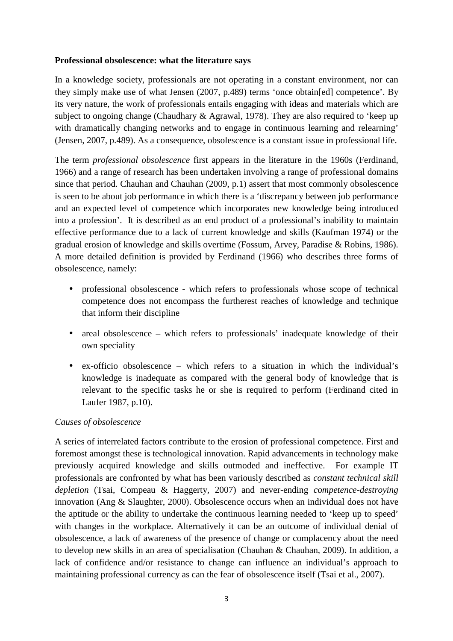### **Professional obsolescence: what the literature says**

In a knowledge society, professionals are not operating in a constant environment, nor can they simply make use of what Jensen (2007, p.489) terms 'once obtain[ed] competence'. By its very nature, the work of professionals entails engaging with ideas and materials which are subject to ongoing change (Chaudhary & Agrawal, 1978). They are also required to 'keep up with dramatically changing networks and to engage in continuous learning and relearning' (Jensen, 2007, p.489). As a consequence, obsolescence is a constant issue in professional life.

The term *professional obsolescence* first appears in the literature in the 1960s (Ferdinand, 1966) and a range of research has been undertaken involving a range of professional domains since that period. Chauhan and Chauhan (2009, p.1) assert that most commonly obsolescence is seen to be about job performance in which there is a 'discrepancy between job performance and an expected level of competence which incorporates new knowledge being introduced into a profession'. It is described as an end product of a professional's inability to maintain effective performance due to a lack of current knowledge and skills (Kaufman 1974) or the gradual erosion of knowledge and skills overtime (Fossum, Arvey, Paradise & Robins, 1986). A more detailed definition is provided by Ferdinand (1966) who describes three forms of obsolescence, namely:

- professional obsolescence which refers to professionals whose scope of technical competence does not encompass the furtherest reaches of knowledge and technique that inform their discipline
- areal obsolescence which refers to professionals' inadequate knowledge of their own speciality
- ex-officio obsolescence which refers to a situation in which the individual's knowledge is inadequate as compared with the general body of knowledge that is relevant to the specific tasks he or she is required to perform (Ferdinand cited in Laufer 1987, p.10).

# *Causes of obsolescence*

A series of interrelated factors contribute to the erosion of professional competence. First and foremost amongst these is technological innovation. Rapid advancements in technology make previously acquired knowledge and skills outmoded and ineffective. For example IT professionals are confronted by what has been variously described as *constant technical skill depletion* (Tsai, Compeau & Haggerty, 2007) and never-ending *competence-destroying*  innovation (Ang & Slaughter, 2000). Obsolescence occurs when an individual does not have the aptitude or the ability to undertake the continuous learning needed to 'keep up to speed' with changes in the workplace. Alternatively it can be an outcome of individual denial of obsolescence, a lack of awareness of the presence of change or complacency about the need to develop new skills in an area of specialisation (Chauhan & Chauhan, 2009). In addition, a lack of confidence and/or resistance to change can influence an individual's approach to maintaining professional currency as can the fear of obsolescence itself (Tsai et al., 2007).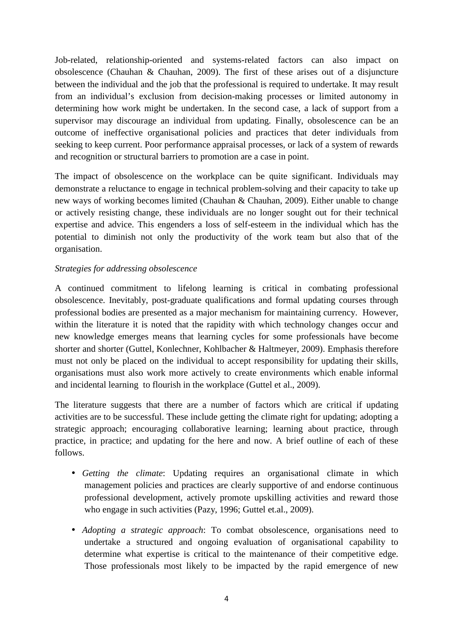Job-related, relationship-oriented and systems-related factors can also impact on obsolescence (Chauhan & Chauhan, 2009). The first of these arises out of a disjuncture between the individual and the job that the professional is required to undertake. It may result from an individual's exclusion from decision-making processes or limited autonomy in determining how work might be undertaken. In the second case, a lack of support from a supervisor may discourage an individual from updating. Finally, obsolescence can be an outcome of ineffective organisational policies and practices that deter individuals from seeking to keep current. Poor performance appraisal processes, or lack of a system of rewards and recognition or structural barriers to promotion are a case in point.

The impact of obsolescence on the workplace can be quite significant. Individuals may demonstrate a reluctance to engage in technical problem-solving and their capacity to take up new ways of working becomes limited (Chauhan & Chauhan, 2009). Either unable to change or actively resisting change, these individuals are no longer sought out for their technical expertise and advice. This engenders a loss of self-esteem in the individual which has the potential to diminish not only the productivity of the work team but also that of the organisation.

# *Strategies for addressing obsolescence*

A continued commitment to lifelong learning is critical in combating professional obsolescence. Inevitably, post-graduate qualifications and formal updating courses through professional bodies are presented as a major mechanism for maintaining currency. However, within the literature it is noted that the rapidity with which technology changes occur and new knowledge emerges means that learning cycles for some professionals have become shorter and shorter (Guttel, Konlechner, Kohlbacher & Haltmeyer, 2009). Emphasis therefore must not only be placed on the individual to accept responsibility for updating their skills, organisations must also work more actively to create environments which enable informal and incidental learning to flourish in the workplace (Guttel et al., 2009).

The literature suggests that there are a number of factors which are critical if updating activities are to be successful. These include getting the climate right for updating; adopting a strategic approach; encouraging collaborative learning; learning about practice, through practice, in practice; and updating for the here and now. A brief outline of each of these follows.

- *Getting the climate*: Updating requires an organisational climate in which management policies and practices are clearly supportive of and endorse continuous professional development, actively promote upskilling activities and reward those who engage in such activities (Pazy, 1996; Guttel et.al., 2009).
- *Adopting a strategic approach*: To combat obsolescence, organisations need to undertake a structured and ongoing evaluation of organisational capability to determine what expertise is critical to the maintenance of their competitive edge. Those professionals most likely to be impacted by the rapid emergence of new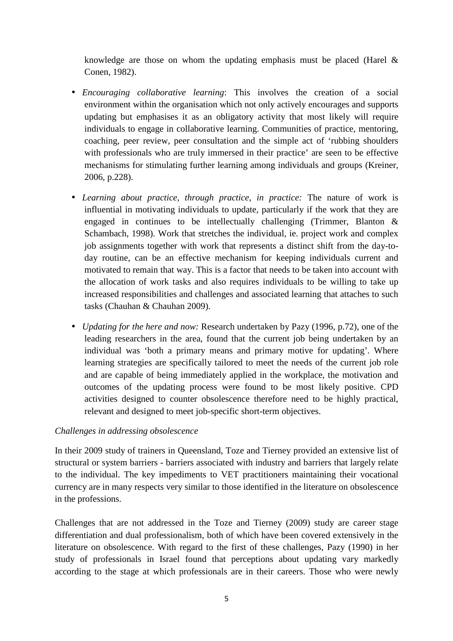knowledge are those on whom the updating emphasis must be placed (Harel & Conen, 1982).

- *Encouraging collaborative learning*: This involves the creation of a social environment within the organisation which not only actively encourages and supports updating but emphasises it as an obligatory activity that most likely will require individuals to engage in collaborative learning. Communities of practice, mentoring, coaching, peer review, peer consultation and the simple act of 'rubbing shoulders with professionals who are truly immersed in their practice' are seen to be effective mechanisms for stimulating further learning among individuals and groups (Kreiner, 2006, p.228).
- *Learning about practice, through practice, in practice:* The nature of work is influential in motivating individuals to update, particularly if the work that they are engaged in continues to be intellectually challenging (Trimmer, Blanton & Schambach, 1998). Work that stretches the individual, ie. project work and complex job assignments together with work that represents a distinct shift from the day-today routine, can be an effective mechanism for keeping individuals current and motivated to remain that way. This is a factor that needs to be taken into account with the allocation of work tasks and also requires individuals to be willing to take up increased responsibilities and challenges and associated learning that attaches to such tasks (Chauhan & Chauhan 2009).
- *Updating for the here and now:* Research undertaken by Pazy (1996, p.72), one of the leading researchers in the area, found that the current job being undertaken by an individual was 'both a primary means and primary motive for updating'. Where learning strategies are specifically tailored to meet the needs of the current job role and are capable of being immediately applied in the workplace, the motivation and outcomes of the updating process were found to be most likely positive. CPD activities designed to counter obsolescence therefore need to be highly practical, relevant and designed to meet job-specific short-term objectives.

#### *Challenges in addressing obsolescence*

In their 2009 study of trainers in Queensland, Toze and Tierney provided an extensive list of structural or system barriers - barriers associated with industry and barriers that largely relate to the individual. The key impediments to VET practitioners maintaining their vocational currency are in many respects very similar to those identified in the literature on obsolescence in the professions.

Challenges that are not addressed in the Toze and Tierney (2009) study are career stage differentiation and dual professionalism, both of which have been covered extensively in the literature on obsolescence. With regard to the first of these challenges, Pazy (1990) in her study of professionals in Israel found that perceptions about updating vary markedly according to the stage at which professionals are in their careers. Those who were newly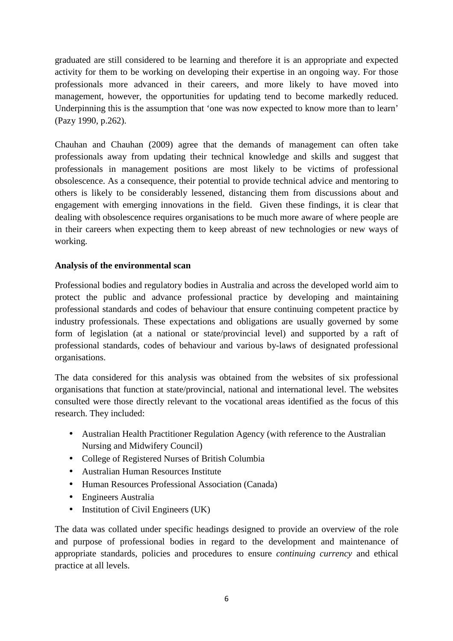graduated are still considered to be learning and therefore it is an appropriate and expected activity for them to be working on developing their expertise in an ongoing way. For those professionals more advanced in their careers, and more likely to have moved into management, however, the opportunities for updating tend to become markedly reduced. Underpinning this is the assumption that 'one was now expected to know more than to learn' (Pazy 1990, p.262).

Chauhan and Chauhan (2009) agree that the demands of management can often take professionals away from updating their technical knowledge and skills and suggest that professionals in management positions are most likely to be victims of professional obsolescence. As a consequence, their potential to provide technical advice and mentoring to others is likely to be considerably lessened, distancing them from discussions about and engagement with emerging innovations in the field. Given these findings, it is clear that dealing with obsolescence requires organisations to be much more aware of where people are in their careers when expecting them to keep abreast of new technologies or new ways of working.

### **Analysis of the environmental scan**

Professional bodies and regulatory bodies in Australia and across the developed world aim to protect the public and advance professional practice by developing and maintaining professional standards and codes of behaviour that ensure continuing competent practice by industry professionals. These expectations and obligations are usually governed by some form of legislation (at a national or state/provincial level) and supported by a raft of professional standards, codes of behaviour and various by-laws of designated professional organisations.

The data considered for this analysis was obtained from the websites of six professional organisations that function at state/provincial, national and international level. The websites consulted were those directly relevant to the vocational areas identified as the focus of this research. They included:

- Australian Health Practitioner Regulation Agency (with reference to the Australian Nursing and Midwifery Council)
- College of Registered Nurses of British Columbia
- Australian Human Resources Institute
- Human Resources Professional Association (Canada)
- Engineers Australia
- Institution of Civil Engineers (UK)

The data was collated under specific headings designed to provide an overview of the role and purpose of professional bodies in regard to the development and maintenance of appropriate standards, policies and procedures to ensure *continuing currency* and ethical practice at all levels.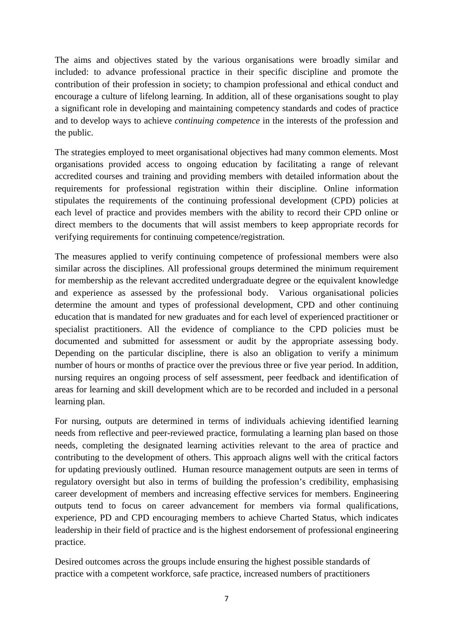The aims and objectives stated by the various organisations were broadly similar and included: to advance professional practice in their specific discipline and promote the contribution of their profession in society; to champion professional and ethical conduct and encourage a culture of lifelong learning. In addition, all of these organisations sought to play a significant role in developing and maintaining competency standards and codes of practice and to develop ways to achieve *continuing competence* in the interests of the profession and the public.

The strategies employed to meet organisational objectives had many common elements. Most organisations provided access to ongoing education by facilitating a range of relevant accredited courses and training and providing members with detailed information about the requirements for professional registration within their discipline. Online information stipulates the requirements of the continuing professional development (CPD) policies at each level of practice and provides members with the ability to record their CPD online or direct members to the documents that will assist members to keep appropriate records for verifying requirements for continuing competence/registration.

The measures applied to verify continuing competence of professional members were also similar across the disciplines. All professional groups determined the minimum requirement for membership as the relevant accredited undergraduate degree or the equivalent knowledge and experience as assessed by the professional body. Various organisational policies determine the amount and types of professional development, CPD and other continuing education that is mandated for new graduates and for each level of experienced practitioner or specialist practitioners. All the evidence of compliance to the CPD policies must be documented and submitted for assessment or audit by the appropriate assessing body. Depending on the particular discipline, there is also an obligation to verify a minimum number of hours or months of practice over the previous three or five year period. In addition, nursing requires an ongoing process of self assessment, peer feedback and identification of areas for learning and skill development which are to be recorded and included in a personal learning plan.

For nursing, outputs are determined in terms of individuals achieving identified learning needs from reflective and peer-reviewed practice, formulating a learning plan based on those needs, completing the designated learning activities relevant to the area of practice and contributing to the development of others. This approach aligns well with the critical factors for updating previously outlined. Human resource management outputs are seen in terms of regulatory oversight but also in terms of building the profession's credibility, emphasising career development of members and increasing effective services for members. Engineering outputs tend to focus on career advancement for members via formal qualifications, experience, PD and CPD encouraging members to achieve Charted Status, which indicates leadership in their field of practice and is the highest endorsement of professional engineering practice.

Desired outcomes across the groups include ensuring the highest possible standards of practice with a competent workforce, safe practice, increased numbers of practitioners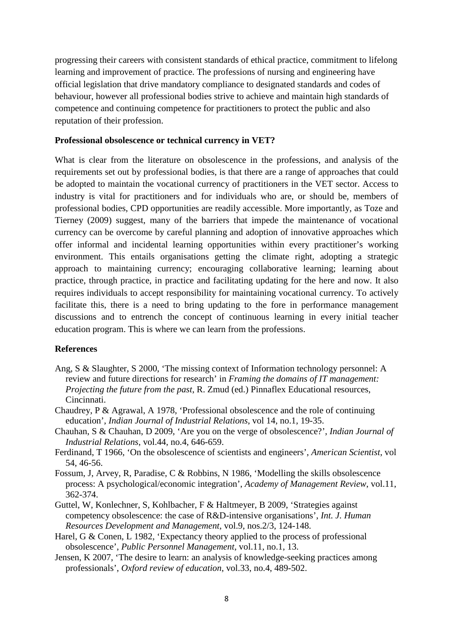progressing their careers with consistent standards of ethical practice, commitment to lifelong learning and improvement of practice. The professions of nursing and engineering have official legislation that drive mandatory compliance to designated standards and codes of behaviour, however all professional bodies strive to achieve and maintain high standards of competence and continuing competence for practitioners to protect the public and also reputation of their profession.

#### **Professional obsolescence or technical currency in VET?**

What is clear from the literature on obsolescence in the professions, and analysis of the requirements set out by professional bodies, is that there are a range of approaches that could be adopted to maintain the vocational currency of practitioners in the VET sector. Access to industry is vital for practitioners and for individuals who are, or should be, members of professional bodies, CPD opportunities are readily accessible. More importantly, as Toze and Tierney (2009) suggest, many of the barriers that impede the maintenance of vocational currency can be overcome by careful planning and adoption of innovative approaches which offer informal and incidental learning opportunities within every practitioner's working environment. This entails organisations getting the climate right, adopting a strategic approach to maintaining currency; encouraging collaborative learning; learning about practice, through practice, in practice and facilitating updating for the here and now. It also requires individuals to accept responsibility for maintaining vocational currency. To actively facilitate this, there is a need to bring updating to the fore in performance management discussions and to entrench the concept of continuous learning in every initial teacher education program. This is where we can learn from the professions.

#### **References**

- Ang, S & Slaughter, S 2000, 'The missing context of Information technology personnel: A review and future directions for research' in *Framing the domains of IT management: Projecting the future from the past*, R. Zmud (ed.) Pinnaflex Educational resources, Cincinnati.
- Chaudrey, P & Agrawal, A 1978, 'Professional obsolescence and the role of continuing education', *Indian Journal of Industrial Relations*, vol 14, no.1, 19-35.
- Chauhan, S & Chauhan, D 2009, 'Are you on the verge of obsolescence?', *Indian Journal of Industrial Relations*, vol.44, no.4, 646-659.
- Ferdinand, T 1966, 'On the obsolescence of scientists and engineers', *American Scientist*, vol 54, 46-56.
- Fossum, J, Arvey, R, Paradise, C & Robbins, N 1986, 'Modelling the skills obsolescence process: A psychological/economic integration', *Academy of Management Review*, vol.11, 362-374.
- Guttel, W, Konlechner, S, Kohlbacher, F & Haltmeyer, B 2009, 'Strategies against competency obsolescence: the case of R&D-intensive organisations', *Int. J. Human Resources Development and Management*, vol.9, nos.2/3, 124-148.
- Harel, G & Conen, L 1982, 'Expectancy theory applied to the process of professional obsolescence', *Public Personnel Management*, vol.11, no.1, 13.
- Jensen, K 2007, 'The desire to learn: an analysis of knowledge-seeking practices among professionals', *Oxford review of education*, vol.33, no.4, 489-502.